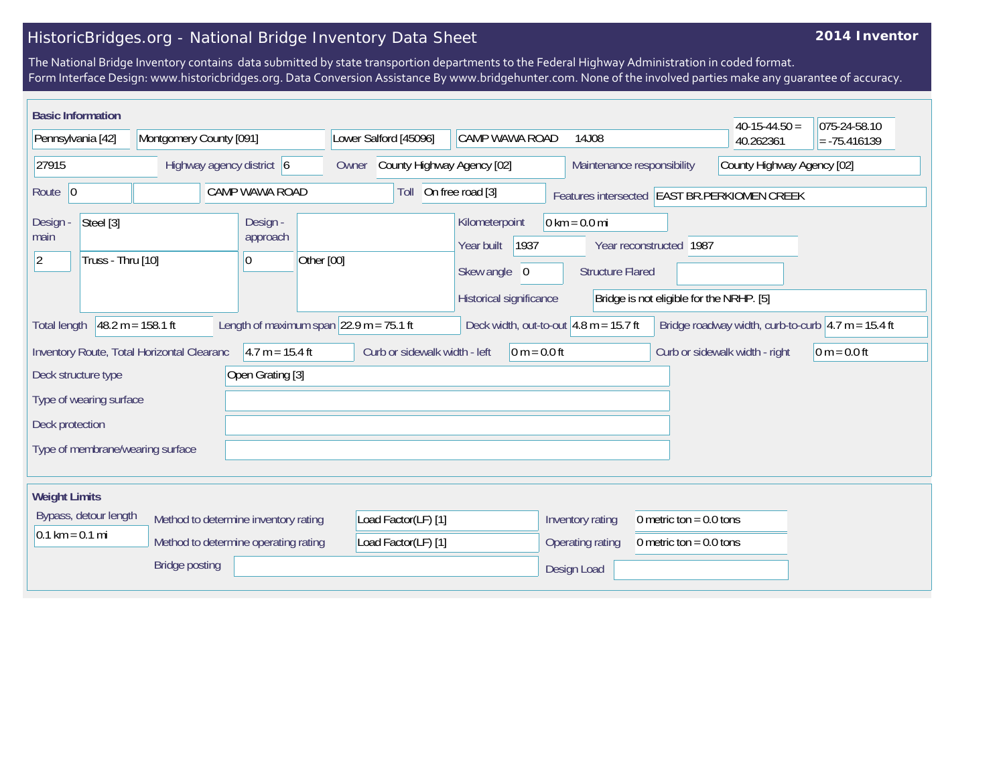## HistoricBridges.org - National Bridge Inventory Data Sheet

## **2014 Inventor**

The National Bridge Inventory contains data submitted by state transportion departments to the Federal Highway Administration in coded format. Form Interface Design: www.historicbridges.org. Data Conversion Assistance By www.bridgehunter.com. None of the involved parties make any guarantee of accuracy.

| <b>Basic Information</b>                   |                                      |                              |                                                            |                                          |                                 |                                          | $40-15-44.50 =$                                                        | 075-24-58.10   |
|--------------------------------------------|--------------------------------------|------------------------------|------------------------------------------------------------|------------------------------------------|---------------------------------|------------------------------------------|------------------------------------------------------------------------|----------------|
| Pennsylvania [42]                          | Montgomery County [091]              |                              | Lower Salford [45096]                                      | <b>CAMP WAWA ROAD</b>                    | 14J08                           |                                          | 40.262361                                                              | $= -75.416139$ |
| 27915                                      | Highway agency district 6            |                              | County Highway Agency [02]<br>Owner                        |                                          |                                 | Maintenance responsibility               | County Highway Agency [02]                                             |                |
| Route 0                                    |                                      | CAMP WAWA ROAD               | Toll                                                       | On free road [3]                         |                                 |                                          | Features intersected EAST BR.PERKIOMEN CREEK                           |                |
| Steel [3]<br>Design -<br>main              |                                      | Design -<br>approach         |                                                            | Kilometerpoint<br>1937<br>Year built     | $0 \text{ km} = 0.0 \text{ mi}$ | Year reconstructed 1987                  |                                                                        |                |
| Truss - Thru [10]<br>$ 2\rangle$           |                                      | Other [00]<br>$\overline{0}$ |                                                            | Skew angle 0                             | <b>Structure Flared</b>         |                                          |                                                                        |                |
|                                            |                                      |                              |                                                            | Historical significance                  |                                 | Bridge is not eligible for the NRHP. [5] |                                                                        |                |
| <b>Total length</b>                        | $48.2 m = 158.1 ft$                  |                              | Length of maximum span $ 22.9 \text{ m} = 75.1 \text{ ft}$ | Deck width, out-to-out $4.8$ m = 15.7 ft |                                 |                                          | Bridge roadway width, curb-to-curb $ 4.7 \text{ m} = 15.4 \text{ ft} $ |                |
| Inventory Route, Total Horizontal Clearanc |                                      | $4.7 m = 15.4 ft$            | Curb or sidewalk width - left                              | $0 m = 0.0 ft$                           |                                 |                                          | Curb or sidewalk width - right                                         | $0 m = 0.0 ft$ |
| Deck structure type                        |                                      | Open Grating [3]             |                                                            |                                          |                                 |                                          |                                                                        |                |
| Type of wearing surface                    |                                      |                              |                                                            |                                          |                                 |                                          |                                                                        |                |
| Deck protection                            |                                      |                              |                                                            |                                          |                                 |                                          |                                                                        |                |
| Type of membrane/wearing surface           |                                      |                              |                                                            |                                          |                                 |                                          |                                                                        |                |
|                                            |                                      |                              |                                                            |                                          |                                 |                                          |                                                                        |                |
| <b>Weight Limits</b>                       |                                      |                              |                                                            |                                          |                                 |                                          |                                                                        |                |
| Bypass, detour length                      | Method to determine inventory rating |                              | Load Factor(LF) [1]                                        |                                          | Inventory rating                | 0 metric ton = $0.0$ tons                |                                                                        |                |
| $0.1 \text{ km} = 0.1 \text{ mi}$          | Method to determine operating rating |                              | Load Factor(LF) [1]                                        |                                          | Operating rating                | 0 metric ton = $0.0$ tons                |                                                                        |                |
|                                            | <b>Bridge posting</b>                |                              |                                                            |                                          | Design Load                     |                                          |                                                                        |                |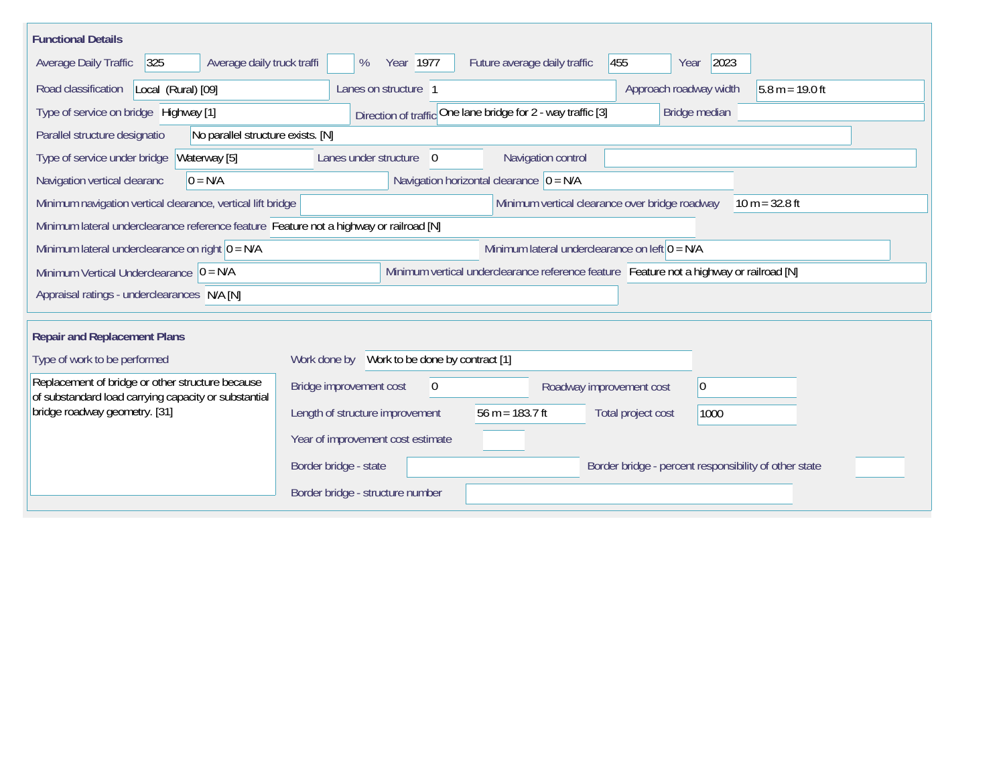| <b>Functional Details</b>                                                                                |                                                                                         |
|----------------------------------------------------------------------------------------------------------|-----------------------------------------------------------------------------------------|
| 325<br>Average daily truck traffi<br>Average Daily Traffic                                               | 455<br>2023<br>Year 1977<br>Future average daily traffic<br>%<br>Year                   |
| Road classification<br>Local (Rural) [09]                                                                | $5.8 m = 19.0 ft$<br>Lanes on structure 1<br>Approach roadway width                     |
| Type of service on bridge Highway [1]                                                                    | Direction of traffic One lane bridge for 2 - way traffic [3]<br>Bridge median           |
| No parallel structure exists. [N]<br>Parallel structure designatio                                       |                                                                                         |
| Type of service under bridge<br>Waterway [5]                                                             | Navigation control<br>Lanes under structure<br>$\overline{0}$                           |
| Navigation vertical clearanc<br>$0 = N/A$                                                                | Navigation horizontal clearance $ 0 = N/A$                                              |
| Minimum navigation vertical clearance, vertical lift bridge                                              | Minimum vertical clearance over bridge roadway<br>$10 m = 32.8 ft$                      |
| Minimum lateral underclearance reference feature Feature not a highway or railroad [N]                   |                                                                                         |
| Minimum lateral underclearance on right $0 = N/A$                                                        | Minimum lateral underclearance on left $0 = N/A$                                        |
| Minimum Vertical Underclearance $ 0 = N/A$                                                               | Minimum vertical underclearance reference feature Feature not a highway or railroad [N] |
| Appraisal ratings - underclearances N/A [N]                                                              |                                                                                         |
|                                                                                                          |                                                                                         |
| <b>Repair and Replacement Plans</b>                                                                      |                                                                                         |
| Type of work to be performed                                                                             | Work done by Work to be done by contract [1]                                            |
| Replacement of bridge or other structure because<br>of substandard load carrying capacity or substantial | Bridge improvement cost<br> 0 <br>$\theta$<br>Roadway improvement cost                  |
| bridge roadway geometry. [31]                                                                            | Length of structure improvement<br>56 m = $183.7$ ft<br>Total project cost<br>1000      |
|                                                                                                          | Year of improvement cost estimate                                                       |
|                                                                                                          | Border bridge - state<br>Border bridge - percent responsibility of other state          |
|                                                                                                          | Border bridge - structure number                                                        |